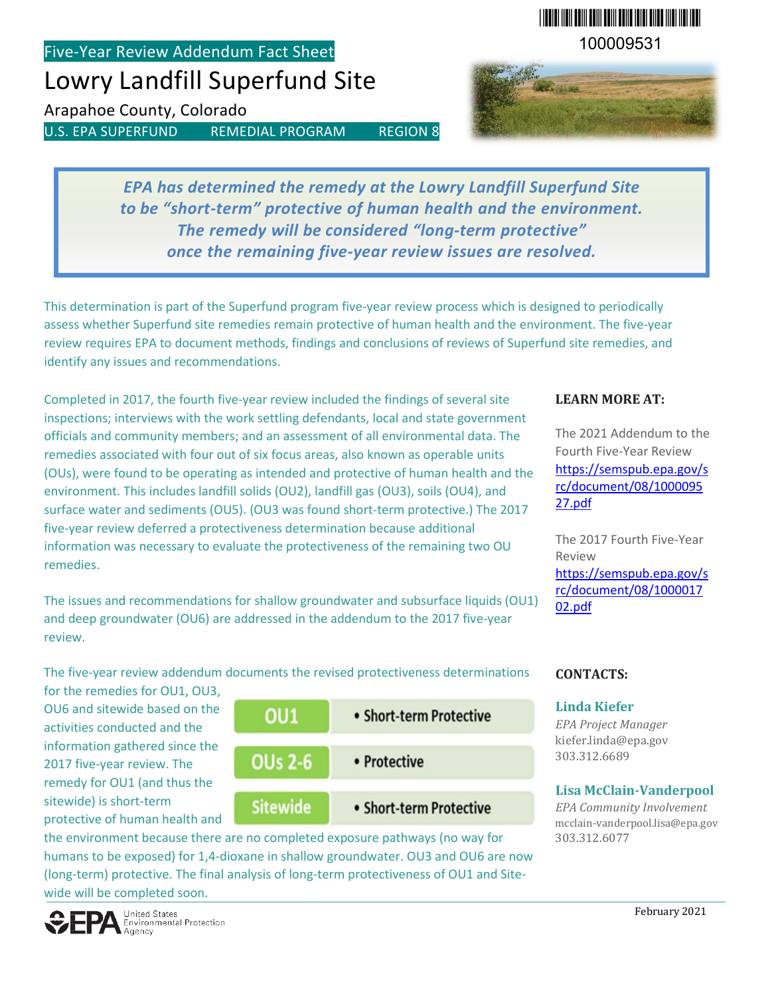Five-Year Review Addendum Fact Sheet

# Lowry Landfill Superfund Site

Arapahoe County, Colorado

U.S. EPA SUPERFUND REMEDIAL PROGRAM REGION 8

\*100009531\* 100009531



*EPA has determined the remedy at the Lowry Landfill Superfund Site to be "short-term" protective of human health and the environment. The remedy will be considered "long-term protective" once the remaining five-year review issues are resolved.*

This determination is part of the Superfund program five-year review process which is designed to periodically assess whether Superfund site remedies remain protective of human health and the environment. The five-year review requires EPA to document methods, findings and conclusions of reviews of Superfund site remedies, and identify any issues and recommendations.

Completed in 2017, the fourth five-year review included the findings of several site inspections; interviews with the work settling defendants, local and state government officials and community members; and an assessment of all environmental data. The remedies associated with four out of six focus areas, also known as operable units (OUs), were found to be operating as intended and protective of human health and the environment. This includes landfill solids (OU2), landfill gas (OU3), soils (OU4), and surface water and sediments (OU5). (OU3 was found short-term protective.) The 2017 five-year review deferred a protectiveness determination because additional information was necessary to evaluate the protectiveness of the remaining two OU remedies.

The issues and recommendations for shallow groundwater and subsurface liquids (OU1) and deep groundwater (OU6) are addressed in the addendum to the 2017 five-year review.

### **LEARN MORE AT:**

The 2021 Addendum to the Fourth Five-Year Review [https://semspub.epa.gov/s](https://semspub.epa.gov/src/document/08/100009527.pdf) [rc/document/08/1000095](https://semspub.epa.gov/src/document/08/100009527.pdf) [27.pdf](https://semspub.epa.gov/src/document/08/100009527.pdf)

The 2017 Fourth Five-Year Review [https://semspub.epa.gov/s](https://semspub.epa.gov/src/document/08/100001702.pdf) [rc/document/08/1000017](https://semspub.epa.gov/src/document/08/100001702.pdf) [02.pdf](https://semspub.epa.gov/src/document/08/100001702.pdf)

The five-year review addendum documents the revised protectiveness determinations

for the remedies for OU1, OU3, OU6 and sitewide based on the activities conducted and the information gathered since the 2017 five-year review. The remedy for OU1 (and thus the sitewide) is short-term protective of human health and



the environment because there are no completed exposure pathways (no way for humans to be exposed) for 1,4-dioxane in shallow groundwater. OU3 and OU6 are now (long-term) protective. The final analysis of long-term protectiveness of OU1 and Sitewide will be completed soon.

#### **CONTACTS:**

#### **Linda Kiefer**

*EPA Project Manager* [kiefer.linda@epa.gov](mailto:kiefer.linda@epa.gov) 303.312.6689

## **Lisa McClain-Vanderpool**

*EPA Community Involvement* [mcclain-vanderpool.lisa@epa.gov](mailto:murphy.jim@epa.gov) 303.312.6077